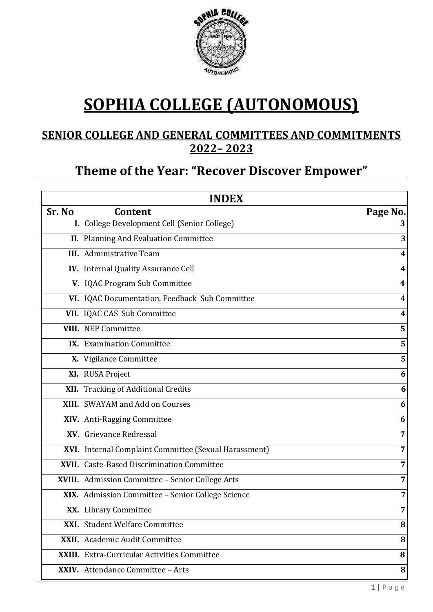

# **SOPHIA COLLEGE (AUTONOMOUS)**

# **SENIOR COLLEGE AND GENERAL COMMITTEES AND COMMITMENTS 2022– 2023**

# **Theme of the Year: "Recover Discover Empower"**

| <b>INDEX</b> |                                                       |                         |  |
|--------------|-------------------------------------------------------|-------------------------|--|
| Sr. No       | Content                                               | Page No.                |  |
|              | I. College Development Cell (Senior College)          | 3                       |  |
|              | II. Planning And Evaluation Committee                 | 3                       |  |
|              | <b>III.</b> Administrative Team                       | 4                       |  |
|              | IV. Internal Quality Assurance Cell                   | 4                       |  |
|              | V. IQAC Program Sub Committee                         | $\overline{\mathbf{4}}$ |  |
|              | VI. IQAC Documentation, Feedback Sub Committee        | 4                       |  |
|              | VII. IQAC CAS Sub Committee                           | 4                       |  |
|              | <b>VIII.</b> NEP Committee                            | 5                       |  |
|              | <b>IX.</b> Examination Committee                      | 5                       |  |
|              | X. Vigilance Committee                                | 5                       |  |
|              | XI. RUSA Project                                      | 6                       |  |
|              | XII. Tracking of Additional Credits                   | 6                       |  |
|              | XIII. SWAYAM and Add on Courses                       | 6                       |  |
|              | XIV. Anti-Ragging Committee                           | 6                       |  |
|              | XV. Grievance Redressal                               | 7                       |  |
|              | XVI. Internal Complaint Committee (Sexual Harassment) | 7                       |  |
|              | XVII. Caste-Based Discrimination Committee            | 7                       |  |
|              | XVIII. Admission Committee - Senior College Arts      | 7                       |  |
|              | XIX. Admission Committee - Senior College Science     | 7                       |  |
|              | XX. Library Committee                                 | 7                       |  |
|              | XXI. Student Welfare Committee                        | 8                       |  |
|              | XXII. Academic Audit Committee                        | 8                       |  |
|              | <b>XXIII.</b> Extra-Curricular Activities Committee   | 8                       |  |
|              | XXIV. Attendance Committee - Arts                     | 8                       |  |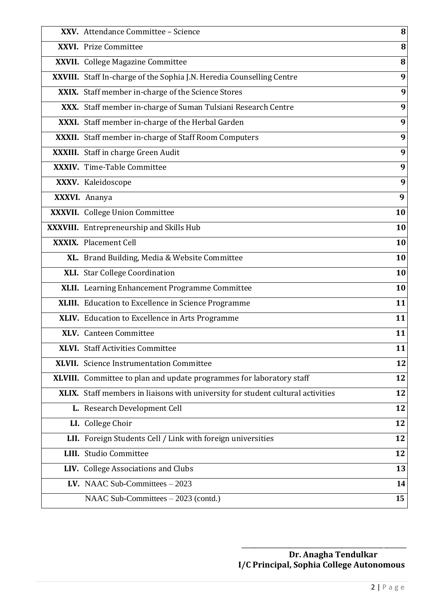| XXV. Attendance Committee - Science                                             | 8  |
|---------------------------------------------------------------------------------|----|
| XXVI. Prize Committee                                                           | 8  |
| XXVII. College Magazine Committee                                               | 8  |
| XXVIII. Staff In-charge of the Sophia J.N. Heredia Counselling Centre           | 9  |
| XXIX. Staff member in-charge of the Science Stores                              | 9  |
| XXX. Staff member in-charge of Suman Tulsiani Research Centre                   | 9  |
| XXXI. Staff member in-charge of the Herbal Garden                               | 9  |
| XXXII. Staff member in-charge of Staff Room Computers                           | 9  |
| XXXIII. Staff in charge Green Audit                                             | 9  |
| XXXIV. Time-Table Committee                                                     | 9  |
| XXXV. Kaleidoscope                                                              | 9  |
| XXXVI. Ananya                                                                   | 9  |
| XXXVII. College Union Committee                                                 | 10 |
| XXXVIII. Entrepreneurship and Skills Hub                                        | 10 |
| <b>XXXIX.</b> Placement Cell                                                    | 10 |
| XL. Brand Building, Media & Website Committee                                   | 10 |
| XLI. Star College Coordination                                                  | 10 |
| XLII. Learning Enhancement Programme Committee                                  | 10 |
| XLIII. Education to Excellence in Science Programme                             | 11 |
| XLIV. Education to Excellence in Arts Programme                                 | 11 |
| XLV. Canteen Committee                                                          | 11 |
| <b>XLVI.</b> Staff Activities Committee                                         | 11 |
| <b>XLVII.</b> Science Instrumentation Committee                                 | 12 |
| XLVIII. Committee to plan and update programmes for laboratory staff            | 12 |
| XLIX. Staff members in liaisons with university for student cultural activities | 12 |
| L. Research Development Cell                                                    | 12 |
| LI. College Choir                                                               | 12 |
| LII. Foreign Students Cell / Link with foreign universities                     | 12 |
| <b>LIII.</b> Studio Committee                                                   | 12 |
| LIV. College Associations and Clubs                                             | 13 |
| LV. NAAC Sub-Committees $-2023$                                                 | 14 |
| NAAC Sub-Committees – 2023 (contd.)                                             | 15 |

 \_\_\_\_\_\_\_\_\_\_\_\_\_\_\_\_\_\_\_\_\_\_\_\_\_\_\_\_\_\_\_\_\_\_\_\_\_\_\_\_\_\_\_\_\_\_\_\_\_\_\_ **Dr. Anagha Tendulkar I/C Principal, Sophia College Autonomous**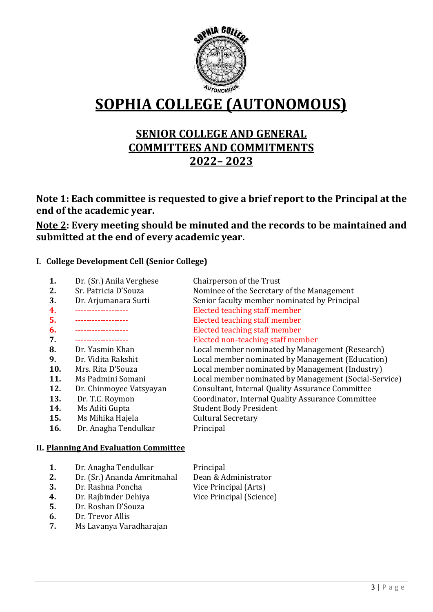

# **SOPHIA COLLEGE (AUTONOMOUS)**

# **SENIOR COLLEGE AND GENERAL COMMITTEES AND COMMITMENTS 2022– 2023**

**Note 1: Each committee is requested to give a brief report to the Principal at the end of the academic year.**

**Note 2: Every meeting should be minuted and the records to be maintained and submitted at the end of every academic year.**

#### **I. College Development Cell (Senior College)**

| 1.                                           | Dr. (Sr.) Anila Verghese | Chairperson of the Trust                              |  |
|----------------------------------------------|--------------------------|-------------------------------------------------------|--|
| 2.                                           | Sr. Patricia D'Souza     | Nominee of the Secretary of the Management            |  |
| 3.                                           | Dr. Arjumanara Surti     | Senior faculty member nominated by Principal          |  |
| 4.                                           | --------------           | Elected teaching staff member                         |  |
| 5.                                           | -----------------        | Elected teaching staff member                         |  |
| 6.                                           | -----------------        | Elected teaching staff member                         |  |
| 7.                                           |                          | Elected non-teaching staff member                     |  |
| 8.                                           | Dr. Yasmin Khan          | Local member nominated by Management (Research)       |  |
| 9.                                           | Dr. Vidita Rakshit       | Local member nominated by Management (Education)      |  |
| 10.                                          | Mrs. Rita D'Souza        | Local member nominated by Management (Industry)       |  |
| 11.                                          | Ms Padmini Somani        | Local member nominated by Management (Social-Service) |  |
| 12.                                          | Dr. Chinmoyee Vatsyayan  | Consultant, Internal Quality Assurance Committee      |  |
| 13.                                          | Dr. T.C. Roymon          | Coordinator, Internal Quality Assurance Committee     |  |
| 14.                                          | Ms Aditi Gupta           | <b>Student Body President</b>                         |  |
| 15.                                          | Ms Mihika Hajela         | <b>Cultural Secretary</b>                             |  |
| 16.                                          | Dr. Anagha Tendulkar     | Principal                                             |  |
| <b>II. Planning And Evaluation Committee</b> |                          |                                                       |  |

| 1. | Dr. Anagha Tendulkar        | Principal                |
|----|-----------------------------|--------------------------|
| 2. | Dr. (Sr.) Ananda Amritmahal | Dean & Administrator     |
| 3. | Dr. Rashna Poncha           | Vice Principal (Arts)    |
| 4. | Dr. Rajbinder Dehiya        | Vice Principal (Science) |

- 
- **5.** Dr. Roshan D'Souza
- **6.** Dr. Trevor Allis
- **7.** Ms Lavanya Varadharajan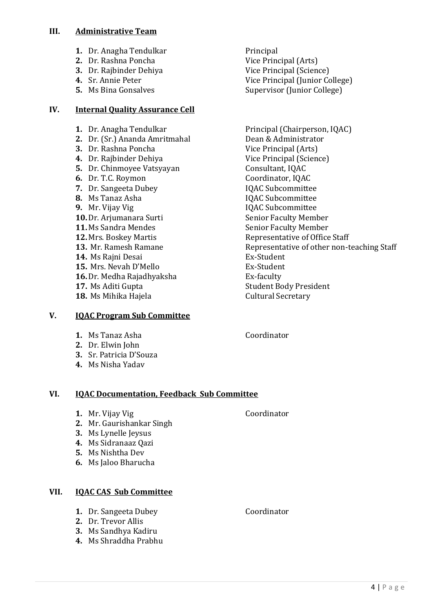#### **III. Administrative Team**

- **1.** Dr. Anagha Tendulkar Principal
- **2.** Dr. Rashna Poncha Vice Principal (Arts)
- **3.** Dr. Raibinder Dehiya **Vice Principal (Science)**
- 
- 

#### **IV. Internal Quality Assurance Cell**

- 
- **2.** Dr. (Sr.) Ananda Amritmahal Dean & Administrator
- **3.** Dr. Rashna Poncha Vice Principal (Arts)
- **4.** Dr. Rajbinder Dehiya **Vice Principal (Science)**
- **5.** Dr. Chinmoyee Vatsyayan **Consultant, IQAC**
- **6.** Dr. T.C. Roymon Coordinator, IQAC
- **7.** Dr. Sangeeta Dubey IQAC Subcommittee
- 
- 
- **10.** Dr. Ariumanara Surti Senior Faculty Member
- 
- 
- 
- **14.** Ms Raini Desai **Ex-Student**
- 15. Mrs. Nevah D'Mello **Ex-Student**
- **16.** Dr. Medha Rajadhyaksha **Ex-faculty**
- 
- **18.** Ms Mihika Hajela **Cultural Secretary**

### **V. IQAC Program Sub Committee**

- **1.** Ms Tanaz Asha **Coordinator**
- **2.** Dr. Elwin John
- **3.** Sr. Patricia D'Souza
- **4.** Ms Nisha Yadav

### **VI. IQAC Documentation, Feedback Sub Committee**

- **1.** Mr. Vijay Vig **Coordinator**
- **2.** Mr. Gaurishankar Singh
- **3.** Ms Lynelle Jeysus
- **4.** Ms Sidranaaz Qazi
- **5.** Ms Nishtha Dev
- **6.** Ms Jaloo Bharucha

### **VII. IQAC CAS Sub Committee**

- **1.** Dr. Sangeeta Dubey **Coordinator**
- **2.** Dr. Trevor Allis
- **3.** Ms Sandhya Kadiru
- **4.** Ms Shraddha Prabhu

**4.** Sr. Annie Peter Vice Principal (Junior College) **5.** Ms Bina Gonsalves Supervisor (Junior College)

**1.** Dr. Anagha Tendulkar Principal (Chairperson, IQAC) **8.** Ms Tanaz Asha **IQAC** Subcommittee **9.** Mr. Vijay Vig **IQAC Subcommittee 11.** Ms Sandra Mendes Senior Faculty Member Representative of Office Staff **13.** Mr. Ramesh Ramane **Representative of other non-teaching Staff 17.** Ms Aditi Gupta **Student Body President**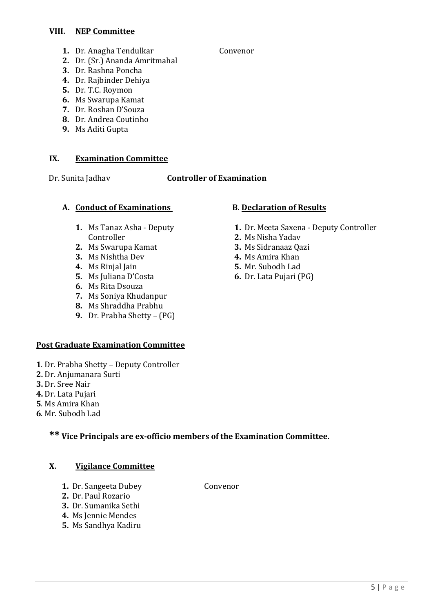#### **VIII. NEP Committee**

- **1.** Dr. Anagha Tendulkar Convenor
- **2.** Dr. (Sr.) Ananda Amritmahal
- **3.** Dr. Rashna Poncha
- **4.** Dr. Rajbinder Dehiya
- **5.** Dr. T.C. Roymon
- **6.** Ms Swarupa Kamat
- **7.** Dr. Roshan D'Souza
- **8.** Dr. Andrea Coutinho
- **9.** Ms Aditi Gupta

#### **IX. Examination Committee**

#### Dr. Sunita Jadhav **Controller of Examination**

#### A. **Conduct of Examinations** B. Declaration of Results

- **1.** Ms Tanaz Asha Deputy Controller
- **2.** Ms Swarupa Kamat
- **3.** Ms Nishtha Dev
- **4.** Ms Rinjal Jain
- **5.** Ms Juliana D'Costa
- **6.** Ms Rita Dsouza
- **7.** Ms Soniya Khudanpur
- **8.** Ms Shraddha Prabhu
- **9.** Dr. Prabha Shetty (PG)

#### **Post Graduate Examination Committee**

- **1**. Dr. Prabha Shetty Deputy Controller
- **2.** Dr. Anjumanara Surti
- **3.** Dr. Sree Nair
- **4.** Dr. Lata Pujari
- **5**. Ms Amira Khan
- **6**. Mr. Subodh Lad

# **\*\* Vice Principals are ex-officio members of the Examination Committee.**

#### **X. Vigilance Committee**

- **1.** Dr. Sangeeta Dubey **Convenor**
- **2.** Dr. Paul Rozario
- **3.** Dr. Sumanika Sethi
- **4.** Ms Jennie Mendes
- **5.** Ms Sandhya Kadiru

- **1.** Dr. Meeta Saxena Deputy Controller
- **2.** Ms Nisha Yadav
- **3.** Ms Sidranaaz Qazi
- **4.** Ms Amira Khan
- **5.** Mr. Subodh Lad
- **6.** Dr. Lata Pujari (PG)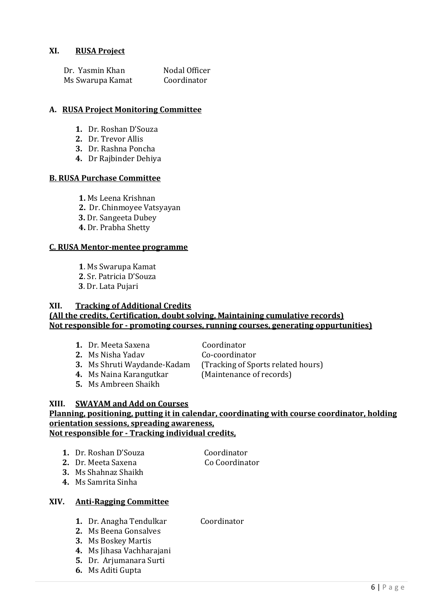#### **XI. RUSA Project**

| Dr. Yasmin Khan  | Nodal Officer |
|------------------|---------------|
| Ms Swarupa Kamat | Coordinator   |

#### **A. RUSA Project Monitoring Committee**

- **1.** Dr. Roshan D'Souza
- **2.** Dr. Trevor Allis
- **3.** Dr. Rashna Poncha
- **4.** Dr Rajbinder Dehiya

#### **B. RUSA Purchase Committee**

- **1.** Ms Leena Krishnan
- **2.** Dr. Chinmoyee Vatsyayan
- **3.** Dr. Sangeeta Dubey
- **4.** Dr. Prabha Shetty

#### **C. RUSA Mentor-mentee programme**

- **1**. Ms Swarupa Kamat
- **2**. Sr. Patricia D'Souza
- **3**. Dr. Lata Pujari

#### **XII. Tracking of Additional Credits (All the credits, Certification, doubt solving, Maintaining cumulative records) Not responsible for - promoting courses, running courses, generating oppurtunities)**

- **1.** Dr. Meeta Saxena **Coordinator**
- **2.** Ms Nisha Yadav **Co-coordinator**
- 

**3.** Ms Shruti Waydande-Kadam (Tracking of Sports related hours)

**5.** Ms Ambreen Shaikh

**4.** Ms Naina Karangutkar (Maintenance of records)

#### **XIII. SWAYAM and Add on Courses Planning, positioning, putting it in calendar, coordinating with course coordinator, holding orientation sessions, spreading awareness, Not responsible for - Tracking individual credits,**

- **1.** Dr. Roshan D'Souza **Coordinator**
- **2.** Dr. Meeta Saxena **Co** Coordinator
- **3.** Ms Shahnaz Shaikh
- **4.** Ms Samrita Sinha

#### **XIV. Anti-Ragging Committee**

- **1.** Dr. Anagha Tendulkar Coordinator
- **2.** Ms Beena Gonsalves
- **3.** Ms Boskey Martis
- **4.** Ms Jihasa Vachharajani
- **5.** Dr. Arjumanara Surti
- **6.** Ms Aditi Gupta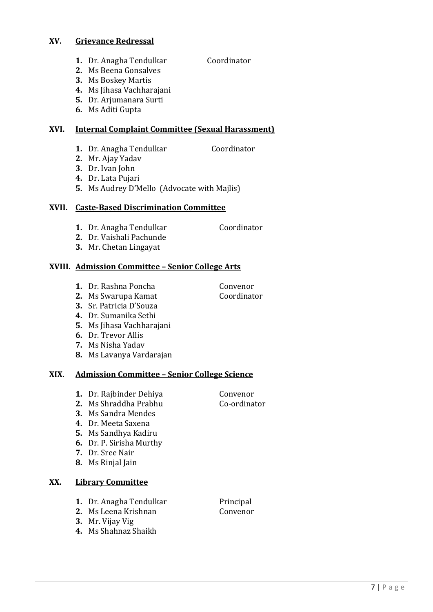#### **XV. Grievance Redressal**

- **1.** Dr. Anagha Tendulkar Coordinator
- **2.** Ms Beena Gonsalves
- **3.** Ms Boskey Martis
- **4.** Ms Jihasa Vachharajani
- **5.** Dr. Arjumanara Surti
- **6.** Ms Aditi Gupta

### **XVI. Internal Complaint Committee (Sexual Harassment)**

- **1.** Dr. Anagha Tendulkar Coordinator
	-
- **2.** Mr. Ajay Yadav
- **3.** Dr. Ivan John
- **4.** Dr. Lata Pujari
- **5.** Ms Audrey D'Mello (Advocate with Majlis)

#### **XVII. Caste-Based Discrimination Committee**

- **1.** Dr. Anagha Tendulkar Coordinator
- **2.** Dr. Vaishali Pachunde
- **3.** Mr. Chetan Lingayat

### **XVIII. Admission Committee – Senior College Arts**

- **1.** Dr. Rashna Poncha **Convenor**
- **2.** Ms Swarupa Kamat **Coordinator**
- **3.** Sr. Patricia D'Souza
- **4.** Dr. Sumanika Sethi
- **5.** Ms Jihasa Vachharajani
- **6.** Dr. Trevor Allis
- **7.** Ms Nisha Yadav
- **8.** Ms Lavanya Vardarajan

#### **XIX. Admission Committee – Senior College Science**

- **1.** Dr. Rajbinder Dehiya **Convenor**
- **2.** Ms Shraddha Prabhu Co-ordinator
- **3.** Ms Sandra Mendes
- **4.** Dr. Meeta Saxena
- **5.** Ms Sandhya Kadiru
- **6.** Dr. P. Sirisha Murthy
- **7.** Dr. Sree Nair
- **8.** Ms Rinjal Jain

### **XX. Library Committee**

- **1.** Dr. Anagha Tendulkar Principal
- **2.** Ms Leena Krishnan **Convenor**
- **3.** Mr. Vijay Vig
- **4.** Ms Shahnaz Shaikh

- 
- 7 | P a g e
- 
- 
-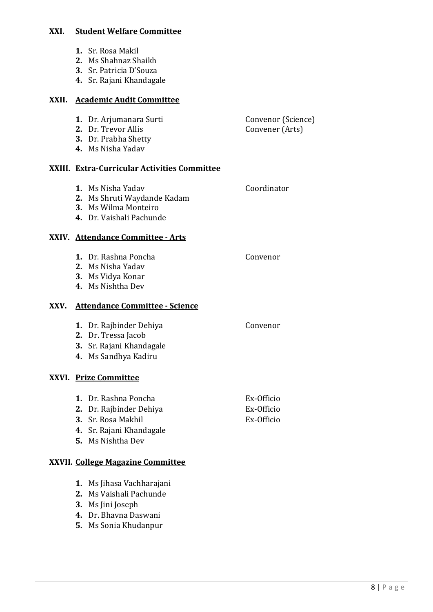#### **XXI. Student Welfare Committee**

- **1.** Sr. Rosa Makil
- **2.** Ms Shahnaz Shaikh
- **3.** Sr. Patricia D'Souza
- **4.** Sr. Rajani Khandagale

#### **XXII. Academic Audit Committee**

|      |          | 1. Dr. Arjumanara Surti<br>2. Dr. Trevor Allis<br>3. Dr. Prabha Shetty<br>4. Ms Nisha Yadav                            | Convenor (Science)<br>Convener (Arts)  |  |  |
|------|----------|------------------------------------------------------------------------------------------------------------------------|----------------------------------------|--|--|
|      |          | XXIII. Extra-Curricular Activities Committee                                                                           |                                        |  |  |
|      |          | 1. Ms Nisha Yadav<br>2. Ms Shruti Waydande Kadam<br>3. Ms Wilma Monteiro<br>4. Dr. Vaishali Pachunde                   | Coordinator                            |  |  |
|      |          | XXIV. Attendance Committee - Arts                                                                                      |                                        |  |  |
|      |          | 1. Dr. Rashna Poncha<br>2. Ms Nisha Yadav<br>3. Ms Vidya Konar<br>4. Ms Nishtha Dev                                    | Convenor                               |  |  |
| XXV. |          | <b>Attendance Committee - Science</b>                                                                                  |                                        |  |  |
|      |          | 1. Dr. Rajbinder Dehiya<br>2. Dr. Tressa Jacob<br>3. Sr. Rajani Khandagale<br>4. Ms Sandhya Kadiru                     | Convenor                               |  |  |
|      |          | XXVI. Prize Committee                                                                                                  |                                        |  |  |
|      |          | 1. Dr. Rashna Poncha<br>2. Dr. Rajbinder Dehiya<br>3. Sr. Rosa Makhil<br>4. Sr. Rajani Khandagale<br>5. Ms Nishtha Dev | Ex-Officio<br>Ex-Officio<br>Ex-Officio |  |  |
|      |          | XXVII. College Magazine Committee                                                                                      |                                        |  |  |
|      | 1.<br>2. | Ms Jihasa Vachharajani<br>Ms Vaishali Pachunde                                                                         |                                        |  |  |

- **3.** Ms Jini Joseph
- **4.** Dr. Bhavna Daswani
- **5.** Ms Sonia Khudanpur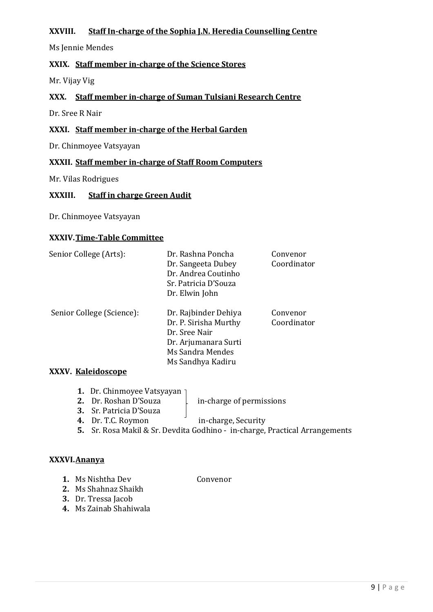#### **XXVIII. Staff In-charge of the Sophia J.N. Heredia Counselling Centre**

Ms Jennie Mendes

#### **XXIX. Staff member in-charge of the Science Stores**

Mr. Vijay Vig

#### **XXX. Staff member in-charge of Suman Tulsiani Research Centre**

Dr. Sree R Nair

#### **XXXI. Staff member in-charge of the Herbal Garden**

Dr. Chinmoyee Vatsyayan

#### **XXXII. Staff member in-charge of Staff Room Computers**

Mr. Vilas Rodrigues

#### **XXXIII. Staff in charge Green Audit**

Dr. Chinmoyee Vatsyayan

#### **XXXIV.Time-Table Committee**

| Senior College (Arts):    | Dr. Rashna Poncha<br>Dr. Sangeeta Dubey<br>Dr. Andrea Coutinho<br>Sr. Patricia D'Souza<br>Dr. Elwin John                        | Convenor<br>Coordinator |
|---------------------------|---------------------------------------------------------------------------------------------------------------------------------|-------------------------|
| Senior College (Science): | Dr. Rajbinder Dehiya<br>Dr. P. Sirisha Murthy<br>Dr. Sree Nair<br>Dr. Arjumanara Surti<br>Ms Sandra Mendes<br>Ms Sandhya Kadiru | Convenor<br>Coordinator |

#### **XXXV. Kaleidoscope**

- **1.** Dr. Chinmoyee Vatsyayan
- **2.** Dr. Roshan D'Souza **in-charge of permissions**

**3.** Sr. Patricia D'Souza

**4.** Dr. T.C. Roymon in-charge, Security

**5.** Sr. Rosa Makil & Sr. Devdita Godhino - in-charge, Practical Arrangements

#### **XXXVI.Ananya**

- **1.** Ms Nishtha Dev **Convenor**
- **2.** Ms Shahnaz Shaikh
- **3.** Dr. Tressa Jacob
- **4.** Ms Zainab Shahiwala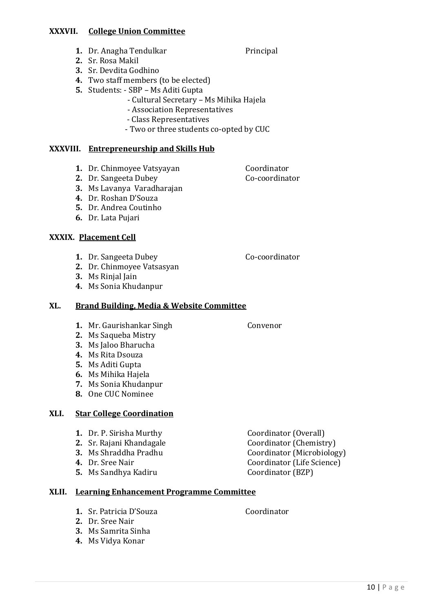#### **XXXVII. College Union Committee**

- **1.** Dr. Anagha Tendulkar Principal
- **2.** Sr. Rosa Makil
- **3.** Sr. Devdita Godhino
- **4.** Two staff members (to be elected)
- **5.** Students: SBP Ms Aditi Gupta
	- Cultural Secretary Ms Mihika Hajela
	- Association Representatives
	- Class Representatives
	- Two or three students co-opted by CUC

#### **XXXVIII. Entrepreneurship and Skills Hub**

- **1.** Dr. Chinmoyee Vatsyayan **Coordinator**
- **2.** Dr. Sangeeta Dubey **Co-coordinator**
- **3.** Ms Lavanya Varadharajan
- **4.** Dr. Roshan D'Souza
- **5.** Dr. Andrea Coutinho
- **6.** Dr. Lata Pujari

#### **XXXIX. Placement Cell**

**1.** Dr. Sangeeta Dubey Co-coordinator

- **2.** Dr. Chinmoyee Vatsasyan
- **3.** Ms Rinjal Jain
- **4.** Ms Sonia Khudanpur

#### **XL. Brand Building, Media & Website Committee**

- **1.** Mr. Gaurishankar Singh Convenor
- **2.** Ms Saqueba Mistry
- **3.** Ms Jaloo Bharucha
- **4.** Ms Rita Dsouza
- **5.** Ms Aditi Gupta
- **6.** Ms Mihika Hajela
- **7.** Ms Sonia Khudanpur
- **8.** One CUC Nominee

#### **XLI. Star College Coordination**

- **1.** Dr. P. Sirisha Murthy Coordinator (Overall)
- 
- 
- 
- **5.** Ms Sandhya Kadiru **Coordinator (BZP)**
- **XLII. Learning Enhancement Programme Committee**
	- **1.** Sr. Patricia D'Souza **Coordinator**
	- **2.** Dr. Sree Nair
	- **3.** Ms Samrita Sinha
	- **4.** Ms Vidya Konar
- **2.** Sr. Rajani Khandagale **Coordinator (Chemistry) 3.** Ms Shraddha Pradhu **Coordinator** (Microbiology) **4.** Dr. Sree Nair Coordinator (Life Science)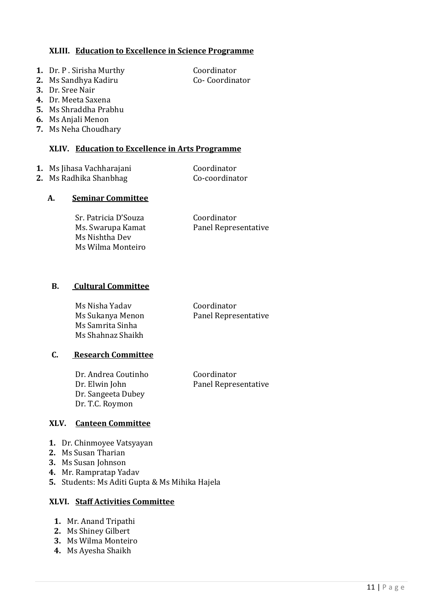#### **XLIII. Education to Excellence in Science Programme**

- **1.** Dr. P. Sirisha Murthy **Coordinator**
- **2.** Ms Sandhya Kadiru **Co- Coordinator**
- **3.** Dr. Sree Nair
- **4.** Dr. Meeta Saxena
- **5.** Ms Shraddha Prabhu
- **6.** Ms Anjali Menon
- **7.** Ms Neha Choudhary

#### **XLIV. Education to Excellence in Arts Programme**

- **1.** Ms Jihasa Vachharajani **Coordinator**
- **2.** Ms Radhika Shanbhag **Co-coordinator**

#### **A. Seminar Committee**

Sr. Patricia D'Souza Coordinator Ms Nishtha Dev Ms Wilma Monteiro

Ms. Swarupa Kamat Panel Representative

#### **B. Cultural Committee**

Ms Nisha Yadav Coordinator Ms Samrita Sinha Ms Shahnaz Shaikh

Ms Sukanya Menon Panel Representative

#### **C. Research Committee**

Dr. Andrea Coutinho Coordinator Dr. Elwin John Panel Representative Dr. Sangeeta Dubey Dr. T.C. Roymon

### **XLV. Canteen Committee**

- **1.** Dr. Chinmoyee Vatsyayan
- **2.** Ms Susan Tharian
- **3.** Ms Susan Johnson
- **4.** Mr. Rampratap Yadav
- **5.** Students: Ms Aditi Gupta & Ms Mihika Hajela

#### **XLVI. Staff Activities Committee**

- **1.** Mr. Anand Tripathi
- **2.** Ms Shiney Gilbert
- **3.** Ms Wilma Monteiro
- **4.** Ms Ayesha Shaikh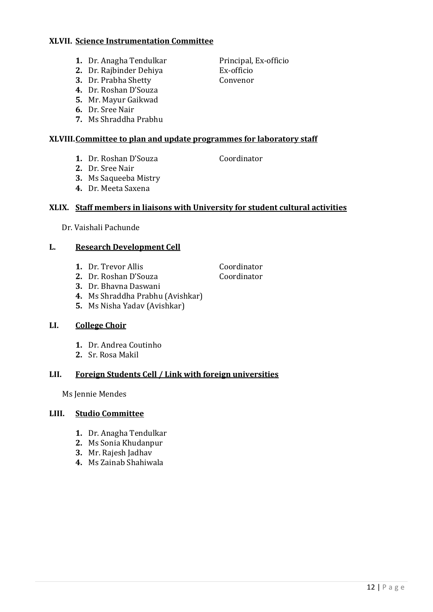#### **XLVII. Science Instrumentation Committee**

- **1.** Dr. Anagha Tendulkar Principal, Ex-officio
- **2.** Dr. Rajbinder Dehiya Ex-officio
- **3.** Dr. Prabha Shetty **Convenor**
- **4.** Dr. Roshan D'Souza
- **5.** Mr. Mayur Gaikwad
- **6.** Dr. Sree Nair
- **7.** Ms Shraddha Prabhu

### **XLVIII.Committee to plan and update programmes for laboratory staff**

- **1.** Dr. Roshan D'Souza Coordinator
- **2.** Dr. Sree Nair
- **3.** Ms Saqueeba Mistry
- **4.** Dr. Meeta Saxena

## **XLIX. Staff members in liaisons with University for student cultural activities**

Dr. Vaishali Pachunde

## **L. Research Development Cell**

- **1.** Dr. Trevor Allis **Coordinator**
- **2.** Dr. Roshan D'Souza Coordinator
- **3.** Dr. Bhavna Daswani
- **4.** Ms Shraddha Prabhu (Avishkar)
- **5.** Ms Nisha Yadav (Avishkar)

# **LI. College Choir**

- **1.** Dr. Andrea Coutinho
- **2.** Sr. Rosa Makil

# **LII. Foreign Students Cell / Link with foreign universities**

Ms Jennie Mendes

### **LIII. Studio Committee**

- **1.** Dr. Anagha Tendulkar
- **2.** Ms Sonia Khudanpur
- **3.** Mr. Rajesh Jadhav
- **4.** Ms Zainab Shahiwala

- 
-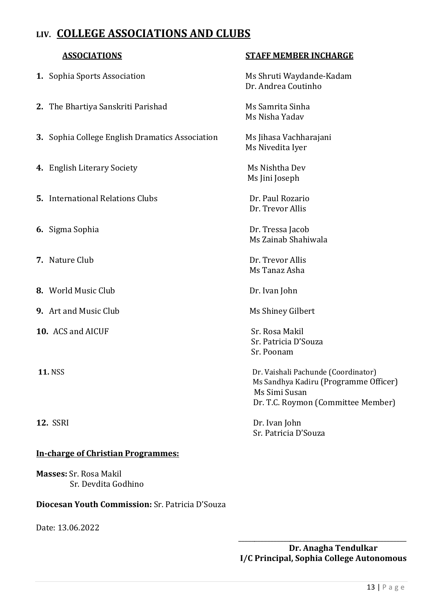# **LIV. COLLEGE ASSOCIATIONS AND CLUBS**

- **1.** Sophia Sports Association Ms Shruti Waydande-Kadam
- **2.** The Bhartiya Sanskriti Parishad Ms Samrita Sinha
- **3.** Sophia College English Dramatics Association Ms Jihasa Vachharajani
- **4.** English Literary Society Ms Nishtha Dev
- **5.** International Relations Clubs **Dr. Paul Rozario**
- **6.** Sigma Sophia Dr. Tressa Jacob
- **7.** Nature Club **Dr.** Trevor Allis
- **8.** World Music Club Dr. Ivan John
- **9.** Art and Music Club Ms Shiney Gilbert
- **10.** ACS and AICUF Sr. Rosa Makil
- 
- 

#### **In-charge of Christian Programmes:**

**Masses:** Sr. Rosa Makil Sr. Devdita Godhino

#### **Diocesan Youth Commission:** Sr. Patricia D'Souza

Date: 13.06.2022

#### **ASSOCIATIONS STAFF MEMBER INCHARGE**

Dr. Andrea Coutinho

Ms Nisha Yadav

Ms Nivedita Iyer

Ms Jini Joseph

Dr. Trevor Allis

Ms Zainab Shahiwala

Ms Tanaz Asha

 Sr. Patricia D'Souza Sr. Poonam

**11.** NSS Dr. Vaishali Pachunde (Coordinator) Ms Sandhya Kadiru (Programme Officer) Ms Simi Susan Dr. T.C. Roymon (Committee Member)

**12.** SSRI Dr. Ivan John Sr. Patricia D'Souza

> \_\_\_\_\_\_\_\_\_\_\_\_\_\_\_\_\_\_\_\_\_\_\_\_\_\_\_\_\_\_\_\_\_\_\_\_\_\_\_\_\_\_\_\_\_\_\_\_\_\_\_\_ **Dr. Anagha Tendulkar I/C Principal, Sophia College Autonomous**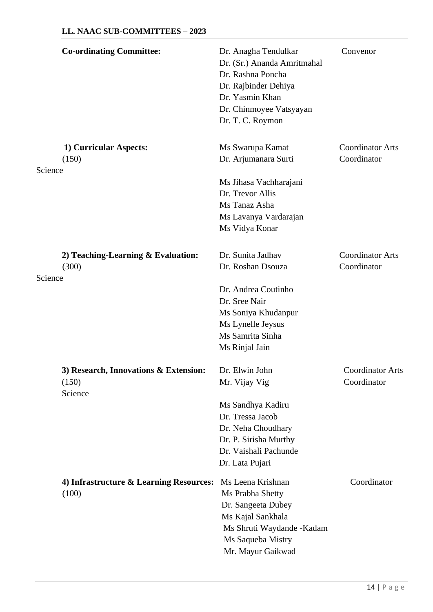| <b>Co-ordinating Committee:</b>                           | Dr. Anagha Tendulkar<br>Dr. (Sr.) Ananda Amritmahal<br>Dr. Rashna Poncha<br>Dr. Rajbinder Dehiya<br>Dr. Yasmin Khan<br>Dr. Chinmoyee Vatsyayan<br>Dr. T. C. Roymon | Convenor                               |
|-----------------------------------------------------------|--------------------------------------------------------------------------------------------------------------------------------------------------------------------|----------------------------------------|
| 1) Curricular Aspects:<br>(150)                           | Ms Swarupa Kamat<br>Dr. Arjumanara Surti                                                                                                                           | <b>Coordinator Arts</b><br>Coordinator |
| Science                                                   | Ms Jihasa Vachharajani<br>Dr. Trevor Allis<br>Ms Tanaz Asha<br>Ms Lavanya Vardarajan<br>Ms Vidya Konar                                                             |                                        |
| 2) Teaching-Learning $&$ Evaluation:<br>(300)<br>Science  | Dr. Sunita Jadhav<br>Dr. Roshan Dsouza                                                                                                                             | <b>Coordinator Arts</b><br>Coordinator |
|                                                           | Dr. Andrea Coutinho<br>Dr. Sree Nair<br>Ms Soniya Khudanpur<br>Ms Lynelle Jeysus<br>Ms Samrita Sinha<br>Ms Rinjal Jain                                             |                                        |
| 3) Research, Innovations & Extension:<br>(150)<br>Science | Dr. Elwin John<br>Mr. Vijay Vig                                                                                                                                    | <b>Coordinator Arts</b><br>Coordinator |
|                                                           | Ms Sandhya Kadiru<br>Dr. Tressa Jacob<br>Dr. Neha Choudhary<br>Dr. P. Sirisha Murthy<br>Dr. Vaishali Pachunde<br>Dr. Lata Pujari                                   |                                        |
| 4) Infrastructure & Learning Resources:<br>(100)          | Ms Leena Krishnan<br>Ms Prabha Shetty<br>Dr. Sangeeta Dubey<br>Ms Kajal Sankhala<br>Ms Shruti Waydande - Kadam<br>Ms Saqueba Mistry<br>Mr. Mayur Gaikwad           | Coordinator                            |